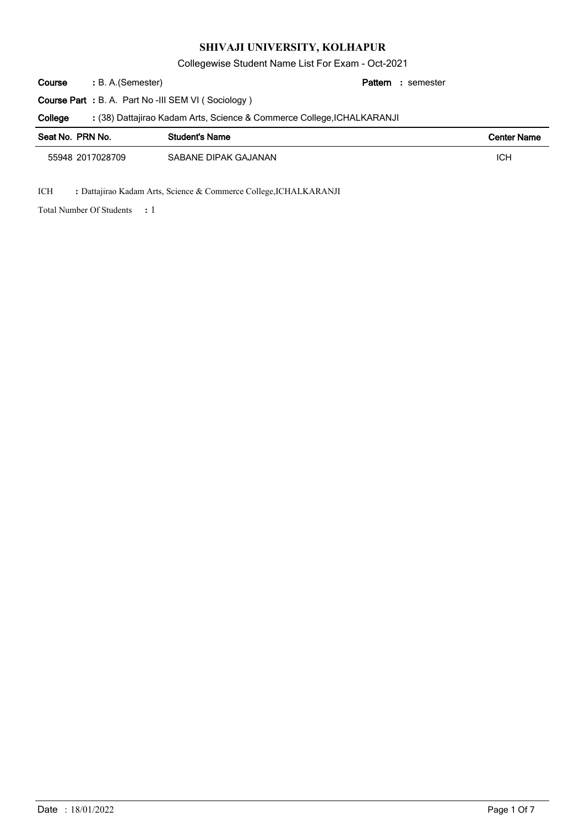Collegewise Student Name List For Exam - Oct-2021

B. A.(Semester) **: Pattern Course**

semester **:**

**Course Part** : B. A. Part No -III SEM VI ( Sociology )

(38) Dattajirao Kadam Arts, Science & Commerce College,ICHALKARANJI **: College**

| Seat No. PRN No. | <b>Student's Name</b> | <b>Center Name</b> |
|------------------|-----------------------|--------------------|
| 55948 2017028709 | SABANE DIPAK GAJANAN  | <b>ICH</b>         |

ICH **:** Dattajirao Kadam Arts, Science & Commerce College,ICHALKARANJI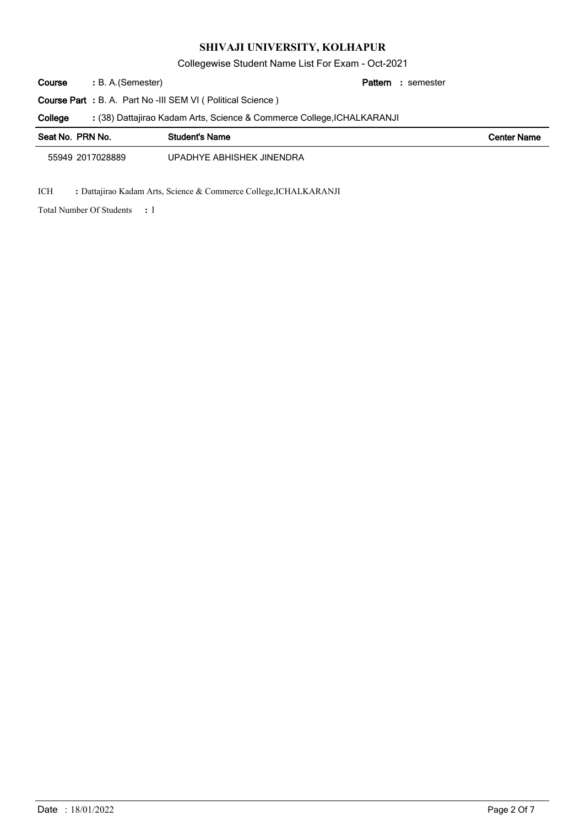Collegewise Student Name List For Exam - Oct-2021

semester **:** (38) Dattajirao Kadam Arts, Science & Commerce College,ICHALKARANJI **:** B. A.(Semester) **: Pattern** Course Part : B. A. Part No -III SEM VI ( Political Science ) **Course College**

| Seat No. PRN No. | <b>Student's Name</b>     | <b>Center Name</b> |
|------------------|---------------------------|--------------------|
| 55949 2017028889 | UPADHYE ABHISHEK JINENDRA |                    |

ICH **:** Dattajirao Kadam Arts, Science & Commerce College,ICHALKARANJI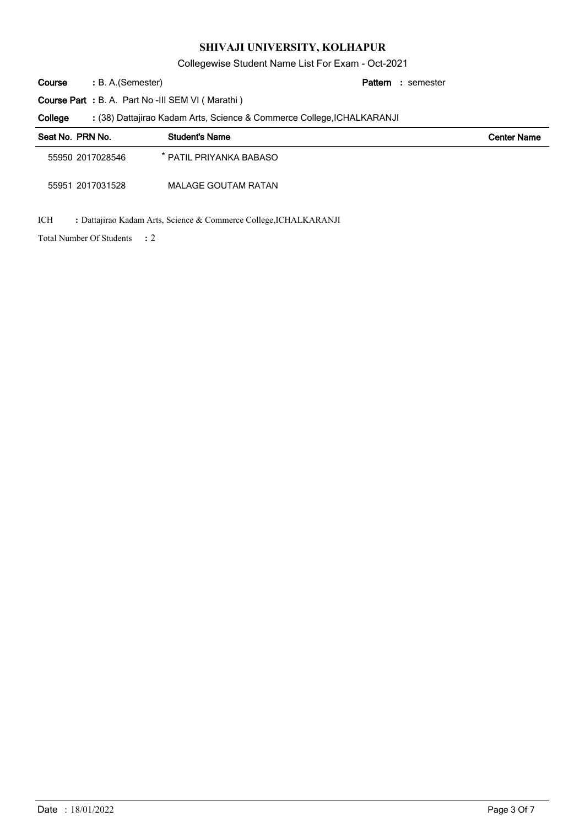Collegewise Student Name List For Exam - Oct-2021

B. A.(Semester) **: Pattern Course**

semester **:**

**Course Part** : B. A. Part No -III SEM VI (Marathi)

(38) Dattajirao Kadam Arts, Science & Commerce College,ICHALKARANJI **: College**

| Seat No. PRN No. |                  | <b>Student's Name</b>   | <b>Center Name</b> |
|------------------|------------------|-------------------------|--------------------|
|                  | 55950 2017028546 | * PATIL PRIYANKA BABASO |                    |
|                  | 55951 2017031528 | MALAGE GOUTAM RATAN     |                    |
|                  |                  |                         |                    |

ICH **:** Dattajirao Kadam Arts, Science & Commerce College,ICHALKARANJI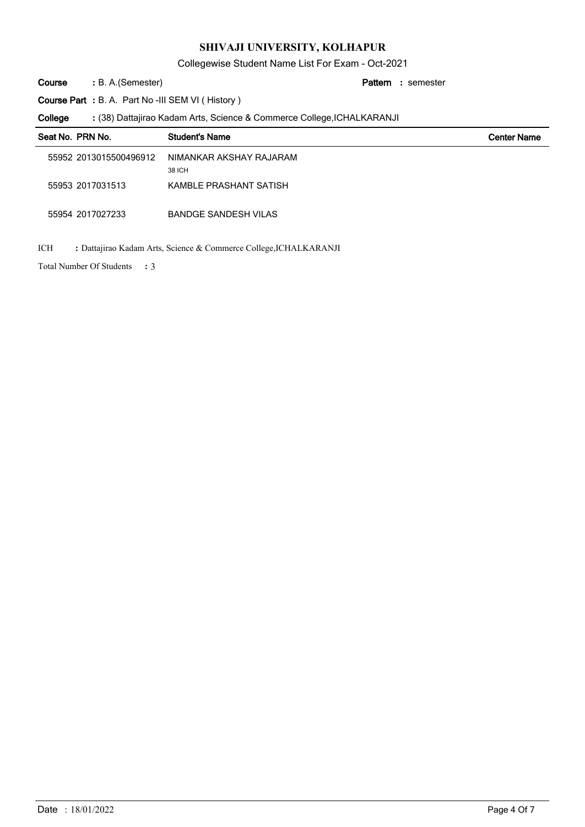Collegewise Student Name List For Exam - Oct-2021

B. A.(Semester) **: Pattern Course**

semester **:**

**Course Part** : B. A. Part No -III SEM VI ( History )

(38) Dattajirao Kadam Arts, Science & Commerce College,ICHALKARANJI **: College**

| Seat No. PRN No. |                        | <b>Student's Name</b>             | <b>Center Name</b> |
|------------------|------------------------|-----------------------------------|--------------------|
|                  | 55952 2013015500496912 | NIMANKAR AKSHAY RAJARAM<br>38 ICH |                    |
|                  | 55953 2017031513       | KAMBLE PRASHANT SATISH            |                    |
|                  | 55954 2017027233       | <b>BANDGE SANDESH VILAS</b>       |                    |

ICH **:** Dattajirao Kadam Arts, Science & Commerce College,ICHALKARANJI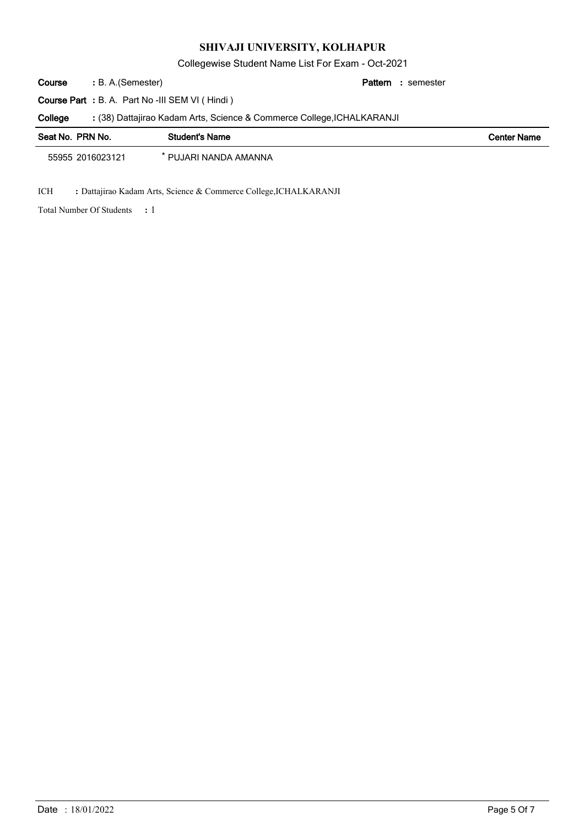Collegewise Student Name List For Exam - Oct-2021

B. A.(Semester) **: Pattern Course**

semester **:**

**Course Part :** B. A. Part No -III SEM VI ( Hindi )

(38) Dattajirao Kadam Arts, Science & Commerce College,ICHALKARANJI **: College**

| Seat No. PRN No. | <b>Student's Name</b> | <b>Center Name</b> |
|------------------|-----------------------|--------------------|
| 55955 2016023121 | ` PUJARI NANDA AMANNA |                    |

ICH **:** Dattajirao Kadam Arts, Science & Commerce College,ICHALKARANJI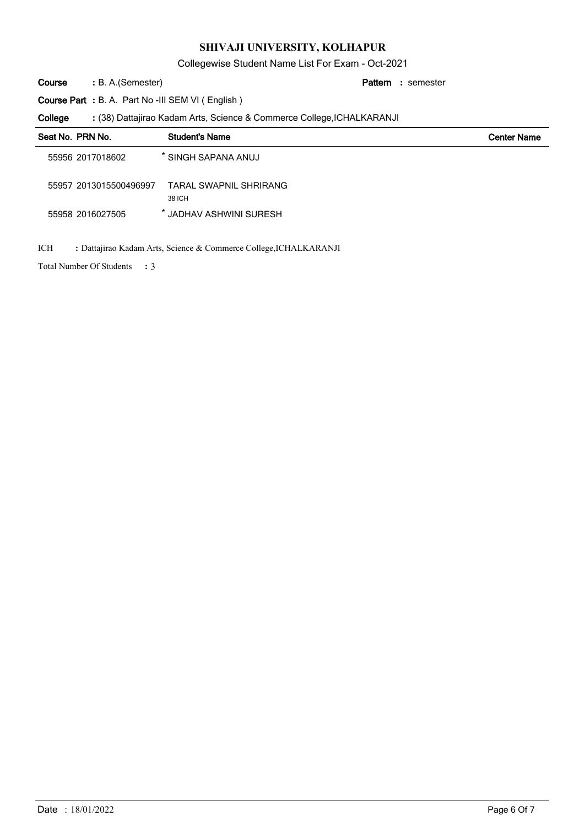Collegewise Student Name List For Exam - Oct-2021

B. A.(Semester) **: Pattern Course**

semester **:**

**Course Part** : B. A. Part No -III SEM VI (English)

(38) Dattajirao Kadam Arts, Science & Commerce College,ICHALKARANJI **: College**

| Seat No. PRN No. |                        | <b>Student's Name</b>                   | <b>Center Name</b> |
|------------------|------------------------|-----------------------------------------|--------------------|
|                  | 55956 2017018602       | * SINGH SAPANA ANUJ                     |                    |
|                  | 55957 2013015500496997 | <b>TARAL SWAPNIL SHRIRANG</b><br>38 ICH |                    |
|                  | 55958 2016027505       | * JADHAV ASHWINI SURESH                 |                    |

ICH **:** Dattajirao Kadam Arts, Science & Commerce College,ICHALKARANJI